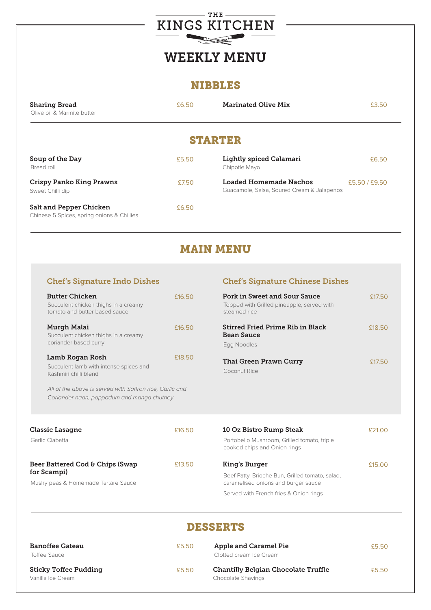

# WEEKLY MENU

#### NIBBLES

| <b>Sharing Bread</b>       | £6.50 | <b>Marinated Olive Mix</b> | £3.50 |
|----------------------------|-------|----------------------------|-------|
| Olive oil & Marmite butter |       |                            |       |

# STARTER

| Soup of the Day<br>Bread roll                                                | £5.50 | <b>Lightly spiced Calamari</b><br>Chipotle Mayo                      | £6.50         |
|------------------------------------------------------------------------------|-------|----------------------------------------------------------------------|---------------|
| <b>Crispy Panko King Prawns</b><br>Sweet Chilli dip                          | £7.50 | Loaded Homemade Nachos<br>Guacamole, Salsa, Soured Cream & Jalapenos | £5.50 / £9.50 |
| <b>Salt and Pepper Chicken</b><br>Chinese 5 Spices, spring onions & Chillies | £6.50 |                                                                      |               |

# MAIN MENU

#### Chef's Signature Indo Dishes Chef's Signature Chinese Dishes

| <b>Butter Chicken</b><br>Succulent chicken thighs in a creamy<br>tomato and butter based sauce                                                                                               | £16.50 | <b>Pork in Sweet and Sour Sauce</b><br>Topped with Grilled pineapple, served with<br>steamed rice | £17.50 |
|----------------------------------------------------------------------------------------------------------------------------------------------------------------------------------------------|--------|---------------------------------------------------------------------------------------------------|--------|
| Murgh Malai<br>Succulent chicken thighs in a creamy<br>coriander based curry                                                                                                                 | £16.50 | <b>Stirred Fried Prime Rib in Black</b><br><b>Bean Sauce</b><br>Egg Noodles                       | £18.50 |
| Lamb Rogan Rosh<br>Succulent lamb with intense spices and<br>Kashmiri chilli blend<br>All of the above is served with Saffron rice, Garlic and<br>Coriander naan, poppadum and mango chutney | £18.50 | <b>Thai Green Prawn Curry</b><br>Coconut Rice                                                     | £17.50 |
| <b>Classic Lasagne</b><br>Carlic Ciabatta                                                                                                                                                    | £16.50 | 10 Oz Bistro Rump Steak<br>Portobollo Mushroom Crillod tomato triplo                              | £21.00 |

| Garlic Ciabatta                                                                        |        | Portobello Mushroom, Grilled tomato, triple<br>cooked chips and Onion rings            |        |
|----------------------------------------------------------------------------------------|--------|----------------------------------------------------------------------------------------|--------|
| Beer Battered Cod & Chips (Swap)<br>for Scampi)<br>Mushy peas & Homemade Tartare Sauce | £13.50 | King's Burger                                                                          | £15.00 |
|                                                                                        |        | Beef Patty, Brioche Bun, Grilled tomato, salad,<br>caramelised onions and burger sauce |        |
|                                                                                        |        | Served with French fries & Onion rings                                                 |        |

### DESSERTS

| <b>Banoffee Gateau</b><br>Toffee Sauce            | £5.50 | <b>Apple and Caramel Pie</b><br>Clotted cream Ice Cream                 | £5.50 |
|---------------------------------------------------|-------|-------------------------------------------------------------------------|-------|
| <b>Sticky Toffee Pudding</b><br>Vanilla Ice Cream | £5.50 | <b>Chantilly Belgian Chocolate Truffle</b><br><b>Chocolate Shavings</b> | £5.50 |